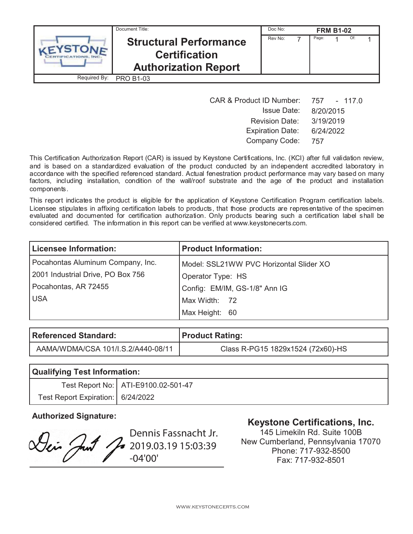|              | Document Title:                                                                      | Doc No: |       | <b>FRM B1-02</b> |     |  |
|--------------|--------------------------------------------------------------------------------------|---------|-------|------------------|-----|--|
|              | <b>Structural Performance</b><br><b>Certification</b><br><b>Authorization Report</b> | Rev No: | Page: |                  | Of: |  |
| Required By: | <b>PRO B1-03</b>                                                                     |         |       |                  |     |  |

| <b>CAR &amp; Product ID Number:</b> | 757 - 117.0 |
|-------------------------------------|-------------|
| <b>Issue Date:</b>                  | 8/20/2015   |
| <b>Revision Date:</b>               | 3/19/2019   |
| <b>Expiration Date:</b>             | 6/24/2022   |
| Company Code:                       | 757         |

This Certification Authorization Report (CAR) is issued by Keystone Certifications, Inc. (KCI) after full validation review, and is based on a standardized evaluation of the product conducted by an independent accredited laboratory in accordance with the specified referenced standard. Actual fenestration product performance may vary based on many factors, including installation, condition of the wall/roof substrate and the age of the product and installation components.

This report indicates the product is eligible for the application of Keystone Certification Program certification labels. Licensee stipulates in affixing certification labels to products, that those products are representative of the specimen evaluated and documented for certification authorization. Only products bearing such a certification label shall be considered certified. The information in this report can be verified at www.keystonecerts.com.

| <b>Licensee Information:</b>      | <b>Product Information:</b>             |
|-----------------------------------|-----------------------------------------|
| Pocahontas Aluminum Company, Inc. | Model: SSL21WW PVC Horizontal Slider XO |
| 2001 Industrial Drive, PO Box 756 | Operator Type: HS                       |
| Pocahontas, AR 72455              | Config: EM/IM, GS-1/8" Ann IG           |
| <b>USA</b>                        | Max Width: 72                           |
|                                   | Max Height: 60                          |

| Referenced Standard:               | <b>Product Rating:</b>            |
|------------------------------------|-----------------------------------|
| AAMA/WDMA/CSA 101/I.S.2/A440-08/11 | Class R-PG15 1829x1524 (72x60)-HS |

| <b>Qualifying Test Information:</b> |                                       |  |  |
|-------------------------------------|---------------------------------------|--|--|
|                                     | Test Report No:   ATI-E9100.02-501-47 |  |  |
| Test Report Expiration:   6/24/2022 |                                       |  |  |

Dennis Fassnacht Jr. Dei Just  $\frac{2}{12}$  2019.03.19 15:03:39 -04'00'

# **Authorized Signature: Keystone Certifications, Inc.**

145 Limekiln Rd. Suite 100B New Cumberland, Pennsylvania 17070 Phone: 717-932-8500 Fax: 717-932-8501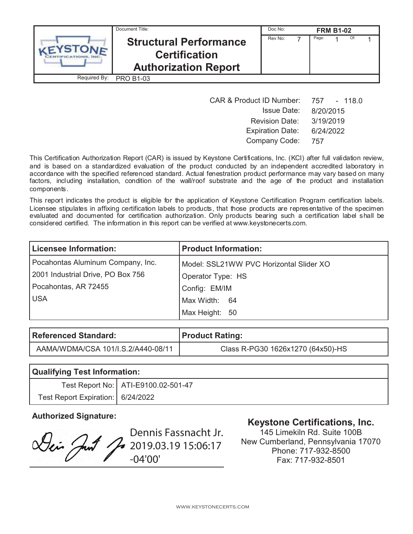|              | Document Title:                                                                      | Doc No: |       | <b>FRM B1-02</b> |     |  |
|--------------|--------------------------------------------------------------------------------------|---------|-------|------------------|-----|--|
|              | <b>Structural Performance</b><br><b>Certification</b><br><b>Authorization Report</b> | Rev No: | Page: |                  | Of: |  |
| Required By: | <b>PRO B1-03</b>                                                                     |         |       |                  |     |  |

| <b>CAR &amp; Product ID Number:</b> | 757 - 118.0 |
|-------------------------------------|-------------|
| <b>Issue Date:</b>                  | 8/20/2015   |
| <b>Revision Date:</b>               | 3/19/2019   |
| <b>Expiration Date:</b>             | 6/24/2022   |
| Company Code:                       | 757         |

This Certification Authorization Report (CAR) is issued by Keystone Certifications, Inc. (KCI) after full validation review, and is based on a standardized evaluation of the product conducted by an independent accredited laboratory in accordance with the specified referenced standard. Actual fenestration product performance may vary based on many factors, including installation, condition of the wall/roof substrate and the age of the product and installation components.

This report indicates the product is eligible for the application of Keystone Certification Program certification labels. Licensee stipulates in affixing certification labels to products, that those products are representative of the specimen evaluated and documented for certification authorization. Only products bearing such a certification label shall be considered certified. The information in this report can be verified at www.keystonecerts.com.

| <b>Licensee Information:</b>      | <b>Product Information:</b>             |
|-----------------------------------|-----------------------------------------|
| Pocahontas Aluminum Company, Inc. | Model: SSL21WW PVC Horizontal Slider XO |
| 2001 Industrial Drive, PO Box 756 | Operator Type: HS                       |
| Pocahontas, AR 72455              | Config: EM/IM                           |
| <b>USA</b>                        | Max Width: 64                           |
|                                   | Max Height: 50                          |

| Referenced Standard:               | <b>Product Rating:</b>            |
|------------------------------------|-----------------------------------|
| AAMA/WDMA/CSA 101/I.S.2/A440-08/11 | Class R-PG30 1626x1270 (64x50)-HS |

| <b>Qualifying Test Information:</b> |                                       |  |  |  |
|-------------------------------------|---------------------------------------|--|--|--|
|                                     | Test Report No:   ATI-E9100.02-501-47 |  |  |  |
| Test Report Expiration: 6/24/2022   |                                       |  |  |  |

Dennis Fassnacht Jr. Lei Just Jo 2019.03.19 15:06:17 -04'00'

# **Authorized Signature: Keystone Certifications, Inc.**

145 Limekiln Rd. Suite 100B New Cumberland, Pennsylvania 17070 Phone: 717-932-8500 Fax: 717-932-8501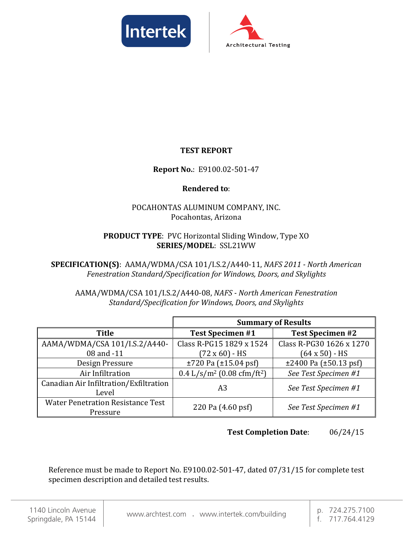



### **TEST REPORT**

#### **Report No.**: E9100.02-501-47

#### **Rendered to**:

#### POCAHONTAS ALUMINUM COMPANY, INC. Pocahontas, Arizona

#### **PRODUCT TYPE**: PVC Horizontal Sliding Window, Type XO **SERIES/MODEL**: SSL21WW

**SPECIFICATION(S)**: AAMA/WDMA/CSA 101/I.S.2/A440-11, *NAFS 2011 - North American Fenestration Standard/Specification for Windows, Doors, and Skylights*

AAMA/WDMA/CSA 101/I.S.2/A440-08, *NAFS - North American Fenestration Standard/Specification for Windows, Doors, and Skylights*

|                                                      | <b>Summary of Results</b>                            |                                  |  |  |
|------------------------------------------------------|------------------------------------------------------|----------------------------------|--|--|
| <b>Title</b>                                         | <b>Test Specimen #1</b>                              | <b>Test Specimen #2</b>          |  |  |
| AAMA/WDMA/CSA 101/I.S.2/A440-                        | Class R-PG15 1829 x 1524                             | Class R-PG30 1626 x 1270         |  |  |
| 08 and -11                                           | $(72 \times 60) - HS$                                | $(64 \times 50) - HS$            |  |  |
| Design Pressure                                      | $\pm 720$ Pa ( $\pm 15.04$ psf)                      | $\pm 2400$ Pa ( $\pm 50.13$ psf) |  |  |
| Air Infiltration                                     | $0.4$ L/s/m <sup>2</sup> (0.08 cfm/ft <sup>2</sup> ) | See Test Specimen #1             |  |  |
| Canadian Air Infiltration/Exfiltration<br>Level      | A3                                                   | See Test Specimen #1             |  |  |
| <b>Water Penetration Resistance Test</b><br>Pressure | 220 Pa (4.60 psf)                                    | See Test Specimen #1             |  |  |

**Test Completion Date**: 06/24/15

Reference must be made to Report No. E9100.02-501-47, dated 07/31/15 for complete test specimen description and detailed test results.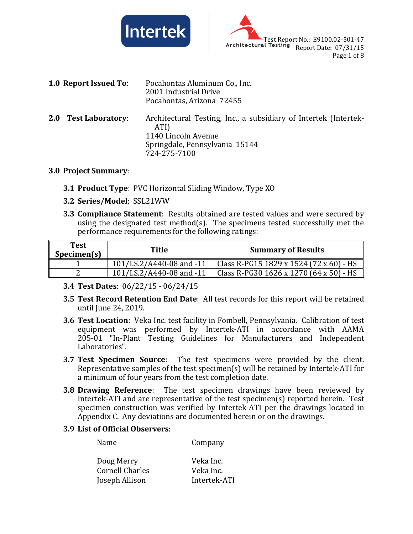



|     | <b>1.0 Report Issued To:</b> | Pocahontas Aluminum Co., Inc.<br>2001 Industrial Drive<br>Pocahontas, Arizona 72455                                                               |
|-----|------------------------------|---------------------------------------------------------------------------------------------------------------------------------------------------|
| 2.0 | <b>Test Laboratory:</b>      | Architectural Testing, Inc., a subsidiary of Intertek (Intertek-<br>ATI)<br>1140 Lincoln Avenue<br>Springdale, Pennsylvania 15144<br>724-275-7100 |

#### **3.0 Project Summary**:

- **3.1 Product Type**: PVC Horizontal Sliding Window, Type XO
- **3.2 Series/Model**: SSL21WW
- **3.3 Compliance Statement**: Results obtained are tested values and were secured by using the designated test method(s). The specimens tested successfully met the performance requirements for the following ratings:

| <b>Test</b><br>Specimen(s) | Title                     | <b>Summary of Results</b>               |
|----------------------------|---------------------------|-----------------------------------------|
|                            | 101/I.S.2/A440-08 and -11 | Class R-PG15 1829 x 1524 (72 x 60) - HS |
|                            | 101/I.S.2/A440-08 and -11 | Class R-PG30 1626 x 1270 (64 x 50) - HS |

- **3.4 Test Dates**: 06/22/15 06/24/15
- **3.5 Test Record Retention End Date**: All test records for this report will be retained until June 24, 2019.
- **3.6 Test Location**: Veka Inc. test facility in Fombell, Pennsylvania. Calibration of test equipment was performed by Intertek-ATI in accordance with AAMA 205-01 "In-Plant Testing Guidelines for Manufacturers and Independent Laboratories".
- **3.7 Test Specimen Source**: The test specimens were provided by the client. Representative samples of the test specimen(s) will be retained by Intertek-ATI for a minimum of four years from the test completion date.
- **3.8 Drawing Reference**: The test specimen drawings have been reviewed by Intertek-ATI and are representative of the test specimen(s) reported herein. Test specimen construction was verified by Intertek-ATI per the drawings located in Appendix C. Any deviations are documented herein or on the drawings.

#### **3.9 List of Official Observers**:

Name Company

| Doug Merry             | Veka Inc.    |
|------------------------|--------------|
| <b>Cornell Charles</b> | Veka Inc.    |
| Joseph Allison         | Intertek-ATI |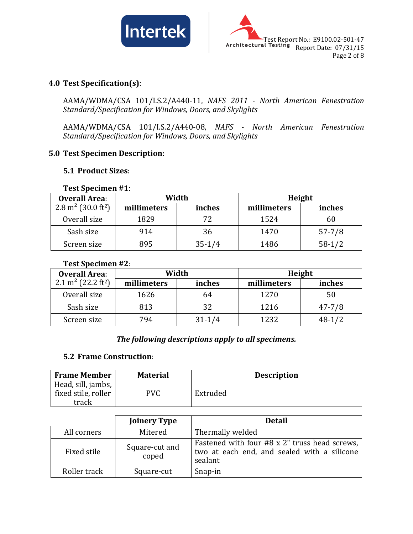



#### **4.0 Test Specification(s)**:

AAMA/WDMA/CSA 101/I.S.2/A440-11, *NAFS 2011 - North American Fenestration Standard/Specification for Windows, Doors, and Skylights*

AAMA/WDMA/CSA 101/I.S.2/A440-08, *NAFS - North American Fenestration Standard/Specification for Windows, Doors, and Skylights*

#### **5.0 Test Specimen Description**:

#### **5.1 Product Sizes**:

| $1$ est opeculien $#1.$                    |             |            |             |            |  |  |
|--------------------------------------------|-------------|------------|-------------|------------|--|--|
| <b>Overall Area:</b>                       |             | Width      |             | Height     |  |  |
| 2.8 m <sup>2</sup> (30.0 ft <sup>2</sup> ) | millimeters | inches     | millimeters | inches     |  |  |
| Overall size                               | 1829        | 72         | 1524        | 60         |  |  |
| Sash size                                  | 914         | 36         | 1470        | $57 - 7/8$ |  |  |
| Screen size                                | 895         | $35 - 1/4$ | 1486        | $58-1/2$   |  |  |

#### **Test Specimen #1**:

#### **Test Specimen #2**:

| <b>Overall Area:</b>                       |             | Width      |             | Height     |
|--------------------------------------------|-------------|------------|-------------|------------|
| 2.1 m <sup>2</sup> (22.2 ft <sup>2</sup> ) | millimeters | inches     | millimeters | inches     |
| Overall size                               | 1626        | 64         | 1270        | 50         |
| Sash size                                  | 813         | 32         | 1216        | $47 - 7/8$ |
| Screen size                                | 794         | $31 - 1/4$ | 1232        | $48-1/2$   |

#### *The following descriptions apply to all specimens.*

#### **5.2 Frame Construction**:

| <b>Frame Member</b>                                | <b>Material</b> | <b>Description</b> |
|----------------------------------------------------|-----------------|--------------------|
| Head, sill, jambs,<br>fixed stile, roller<br>track | PVC             | Extruded           |

|              | <b>Joinery Type</b>     | <b>Detail</b>                                                                                           |
|--------------|-------------------------|---------------------------------------------------------------------------------------------------------|
| All corners  | Mitered                 | Thermally welded                                                                                        |
| Fixed stile  | Square-cut and<br>coped | Fastened with four #8 x 2" truss head screws,<br>two at each end, and sealed with a silicone<br>sealant |
| Roller track | Square-cut              | Snap-in                                                                                                 |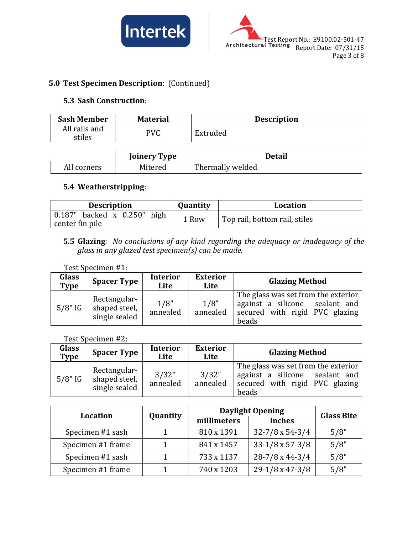



### **5.0 Test Specimen Description**: (Continued)

#### **5.3 Sash Construction**:

| <b>Sash Member</b>      | <b>Material</b> | <b>Description</b> |
|-------------------------|-----------------|--------------------|
| All rails and<br>stiles | PVC             | Extruded           |

|             | <b>Joinery Type</b> | Detail           |
|-------------|---------------------|------------------|
| All corners | Mitered             | Thermally welded |

### **5.4 Weatherstripping**:

| <b>Description</b>          | Quantity | Location                      |
|-----------------------------|----------|-------------------------------|
| 0.187" backed x 0.250" high | 1 Row    | Top rail, bottom rail, stiles |
| center fin pile             |          |                               |

#### **5.5 Glazing**: *No conclusions of any kind regarding the adequacy or inadequacy of the glass in any glazed test specimen(s) can be made.*

#### Test Specimen #1:

| <b>Glass</b><br><b>Type</b> | <b>Spacer Type</b>                             | <b>Interior</b><br>Lite | <b>Exterior</b><br>Lite | <b>Glazing Method</b>                                                                                            |
|-----------------------------|------------------------------------------------|-------------------------|-------------------------|------------------------------------------------------------------------------------------------------------------|
| $5/8"$ IG                   | Rectangular-<br>shaped steel,<br>single sealed | 1/8"<br>annealed        | 1/8"<br>annealed        | The glass was set from the exterior<br>against a silicone sealant and<br>secured with rigid PVC glazing<br>beads |

Test Specimen #2:

| Glass<br>Type | <b>Spacer Type</b>                             | <b>Interior</b><br>Lite | <b>Exterior</b><br>Lite | <b>Glazing Method</b>                                                                                            |
|---------------|------------------------------------------------|-------------------------|-------------------------|------------------------------------------------------------------------------------------------------------------|
| $5/8"$ IG     | Rectangular-<br>shaped steel,<br>single sealed | 3/32"<br>annealed       | 3/32"<br>annealed       | The glass was set from the exterior<br>against a silicone sealant and<br>secured with rigid PVC glazing<br>beads |

| Location          | <b>Daylight Opening</b> |             |                            | <b>Glass Bite</b> |  |
|-------------------|-------------------------|-------------|----------------------------|-------------------|--|
|                   | <b>Quantity</b>         | millimeters | inches                     |                   |  |
| Specimen #1 sash  |                         | 810 x 1391  | $32 - 7/8 \times 54 - 3/4$ | 5/8"              |  |
| Specimen #1 frame |                         | 841 x 1457  | $33-1/8 \times 57-3/8$     | 5/8"              |  |
| Specimen #1 sash  |                         | 733 x 1137  | $28-7/8 \times 44-3/4$     | 5/8"              |  |
| Specimen #1 frame |                         | 740 x 1203  | $29-1/8 \times 47-3/8$     | 5/8"              |  |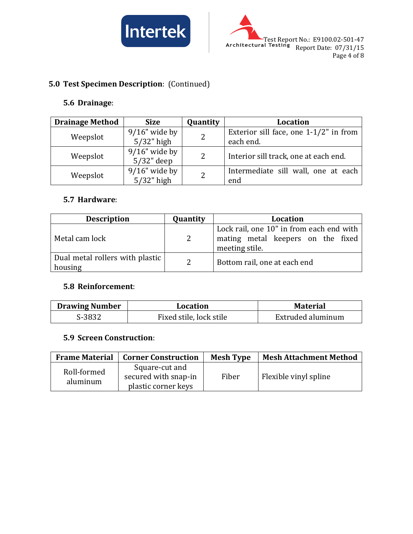



## **5.0 Test Specimen Description**: (Continued)

#### **5.6 Drainage**:

| <b>Drainage Method</b> | <b>Size</b>      | Quantity | Location                                  |  |
|------------------------|------------------|----------|-------------------------------------------|--|
| Weepslot               | $9/16$ " wide by | 2        | Exterior sill face, one $1-1/2$ " in from |  |
|                        | $5/32$ " high    |          | each end.                                 |  |
| Weepslot               | $9/16$ " wide by | 2        | Interior sill track, one at each end.     |  |
|                        | $5/32$ " deep    |          |                                           |  |
| Weepslot               | $9/16$ " wide by | 2        | Intermediate sill wall, one at each       |  |
|                        | $5/32$ " high    |          | end                                       |  |

#### **5.7 Hardware**:

| <b>Description</b>                         | Quantity     | Location                                                                                        |
|--------------------------------------------|--------------|-------------------------------------------------------------------------------------------------|
| Metal cam lock                             | <sup>2</sup> | Lock rail, one 10" in from each end with<br>mating metal keepers on the fixed<br>meeting stile. |
| Dual metal rollers with plastic<br>housing | 2            | Bottom rail, one at each end                                                                    |

#### **5.8 Reinforcement**:

| <b>Drawing Number</b> | Location                | <b>Material</b>   |
|-----------------------|-------------------------|-------------------|
| S-3832                | Fixed stile, lock stile | Extruded aluminum |

#### **5.9 Screen Construction**:

| <b>Frame Material</b>   | <b>Corner Construction</b>                                    | <b>Mesh Type</b> | <b>Mesh Attachment Method</b> |
|-------------------------|---------------------------------------------------------------|------------------|-------------------------------|
| Roll-formed<br>aluminum | Square-cut and<br>secured with snap-in<br>plastic corner keys | Fiber            | Flexible vinyl spline         |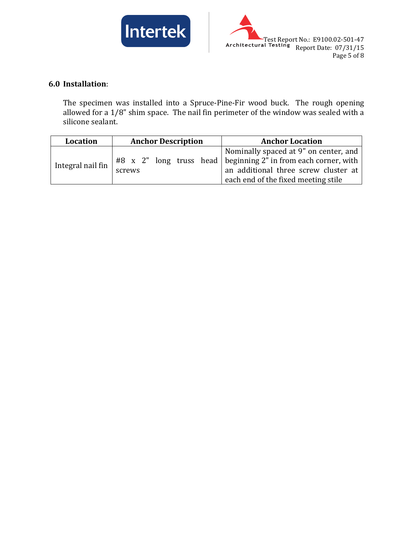



### **6.0 Installation**:

The specimen was installed into a Spruce-Pine-Fir wood buck. The rough opening allowed for a 1/8" shim space. The nail fin perimeter of the window was sealed with a silicone sealant.

| Location          | <b>Anchor Description</b> | <b>Anchor Location</b>                                                                                                                                                                   |
|-------------------|---------------------------|------------------------------------------------------------------------------------------------------------------------------------------------------------------------------------------|
| Integral nail fin | screws                    | Nominally spaced at 9" on center, and<br>$#8$ x 2" long truss head beginning 2" in from each corner, with<br>an additional three screw cluster at<br>each end of the fixed meeting stile |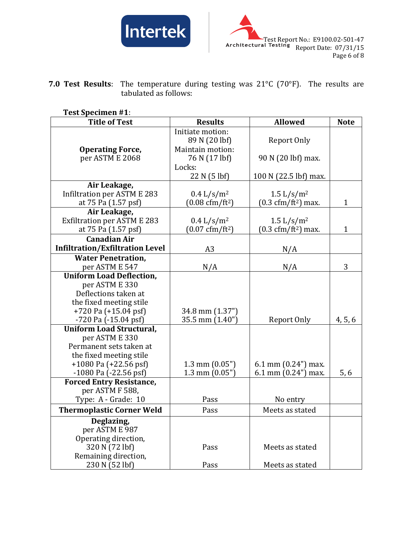



**7.0 Test Results**: The temperature during testing was 21°C (70°F). The results are tabulated as follows:

#### **Test Specimen #1**:

| <b>Title of Test</b>                   | <b>Results</b>                   | <b>Allowed</b>                               | <b>Note</b>  |
|----------------------------------------|----------------------------------|----------------------------------------------|--------------|
|                                        | Initiate motion:                 |                                              |              |
|                                        | 89 N (20 lbf)                    | Report Only                                  |              |
| <b>Operating Force,</b>                | Maintain motion:                 |                                              |              |
| per ASTM E 2068                        | 76 N (17 lbf)                    | 90 N (20 lbf) max.                           |              |
|                                        | Locks:                           |                                              |              |
|                                        | 22 N (5 lbf)                     | 100 N (22.5 lbf) max.                        |              |
| Air Leakage,                           |                                  |                                              |              |
| Infiltration per ASTM E 283            | $0.4 \frac{L}{s/m^2}$            | $1.5 \frac{\text{L}}{\text{s}} / \text{m}^2$ |              |
| at 75 Pa (1.57 psf)                    | $(0.08 \text{ cfm}/\text{ft}^2)$ | $(0.3 \text{ cfm}/\text{ft}^2)$ max.         | 1            |
| Air Leakage,                           |                                  |                                              |              |
| <b>Exfiltration per ASTM E 283</b>     | $0.4 \frac{L}{s/m^2}$            | $1.5 \frac{\text{L}}{\text{s}} / \text{m}^2$ |              |
| at 75 Pa (1.57 psf)                    | $(0.07 \text{ cfm}/\text{ft}^2)$ | $(0.3 \text{ cfm}/\text{ft}^2) \text{ max.}$ | $\mathbf{1}$ |
| <b>Canadian Air</b>                    |                                  |                                              |              |
| <b>Infiltration/Exfiltration Level</b> | A <sub>3</sub>                   | N/A                                          |              |
| <b>Water Penetration,</b>              |                                  |                                              |              |
| per ASTM E 547                         | N/A                              | N/A                                          | 3            |
| <b>Uniform Load Deflection,</b>        |                                  |                                              |              |
| per ASTM E 330                         |                                  |                                              |              |
| Deflections taken at                   |                                  |                                              |              |
| the fixed meeting stile                |                                  |                                              |              |
| $+720$ Pa $(+15.04$ psf)               | 34.8 mm (1.37")                  |                                              |              |
| -720 Pa (-15.04 psf)                   | 35.5 mm (1.40")                  | Report Only                                  | 4, 5, 6      |
| <b>Uniform Load Structural,</b>        |                                  |                                              |              |
| per ASTM E 330                         |                                  |                                              |              |
| Permanent sets taken at                |                                  |                                              |              |
| the fixed meeting stile                |                                  |                                              |              |
| $+1080$ Pa ( $+22.56$ psf)             | $1.3$ mm $(0.05")$               | 6.1 mm $(0.24)$ max.                         |              |
| $-1080$ Pa $(-22.56$ psf               | $1.3$ mm $(0.05")$               | 6.1 mm (0.24") max.                          | 5, 6         |
| <b>Forced Entry Resistance,</b>        |                                  |                                              |              |
| per ASTM F 588,                        |                                  |                                              |              |
| Type: A - Grade: 10                    | Pass                             | No entry                                     |              |
| <b>Thermoplastic Corner Weld</b>       | Pass                             | Meets as stated                              |              |
| Deglazing,                             |                                  |                                              |              |
| per ASTM E 987                         |                                  |                                              |              |
| Operating direction,                   |                                  |                                              |              |
| 320 N (72 lbf)                         | Pass                             | Meets as stated                              |              |
| Remaining direction,                   |                                  |                                              |              |
| 230 N (52 lbf)                         | Pass                             | Meets as stated                              |              |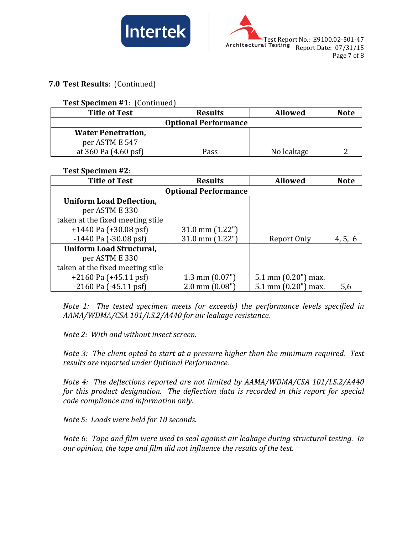



#### **7.0 Test Results**: (Continued)

#### **Test Specimen #1**: (Continued)

| <b>Title of Test</b>        | <b>Results</b> | <b>Allowed</b> | <b>Note</b> |  |
|-----------------------------|----------------|----------------|-------------|--|
| <b>Optional Performance</b> |                |                |             |  |
| <b>Water Penetration,</b>   |                |                |             |  |
| per ASTM E 547              |                |                |             |  |
| at 360 Pa (4.60 psf)        | Pass           | No leakage     |             |  |

#### **Test Specimen #2**:

| <b>Title of Test</b>             | <b>Results</b>           | <b>Allowed</b>       | <b>Note</b> |  |
|----------------------------------|--------------------------|----------------------|-------------|--|
| <b>Optional Performance</b>      |                          |                      |             |  |
| <b>Uniform Load Deflection,</b>  |                          |                      |             |  |
| per ASTM E 330                   |                          |                      |             |  |
| taken at the fixed meeting stile |                          |                      |             |  |
| $+1440$ Pa $(+30.08$ psf)        | $31.0$ mm $(1.22")$      |                      |             |  |
| $-1440$ Pa $(-30.08$ psf)        | 31.0 mm $(1.22")$        | Report Only          | 4, 5, 6     |  |
| <b>Uniform Load Structural,</b>  |                          |                      |             |  |
| per ASTM E 330                   |                          |                      |             |  |
| taken at the fixed meeting stile |                          |                      |             |  |
| $+2160$ Pa $(+45.11$ psf)        | $1.3 \text{ mm} (0.07")$ | 5.1 mm $(0.20)$ max. |             |  |
| $-2160$ Pa $(-45.11$ psf         | $2.0 \text{ mm}$ (0.08") | 5.1 mm $(0.20)$ max. | 5,6         |  |

*Note 1: The tested specimen meets (or exceeds) the performance levels specified in AAMA/WDMA/CSA 101/I.S.2/A440 for air leakage resistance.*

*Note 2: With and without insect screen.*

*Note 3: The client opted to start at a pressure higher than the minimum required. Test results are reported under Optional Performance.*

*Note 4: The deflections reported are not limited by AAMA/WDMA/CSA 101/I.S.2/A440 for this product designation. The deflection data is recorded in this report for special code compliance and information only.*

*Note 5: Loads were held for 10 seconds.*

*Note 6: Tape and film were used to seal against air leakage during structural testing. In our opinion, the tape and film did not influence the results of the test.*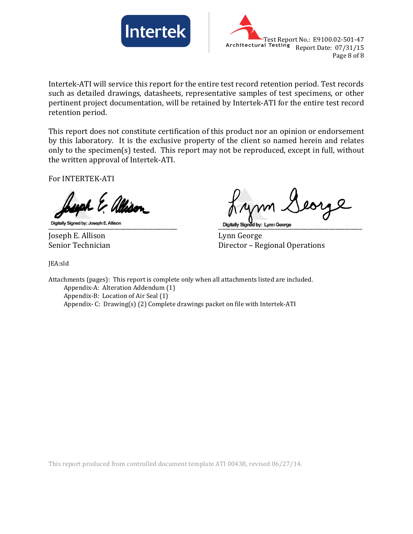



Intertek-ATI will service this report for the entire test record retention period. Test records such as detailed drawings, datasheets, representative samples of test specimens, or other pertinent project documentation, will be retained by Intertek-ATI for the entire test record retention period.

This report does not constitute certification of this product nor an opinion or endorsement by this laboratory. It is the exclusive property of the client so named herein and relates only to the specimen(s) tested. This report may not be reproduced, except in full, without the written approval of Intertek-ATI.

For INTERTEK-ATI

Joseph E. Allison Lynn George

\_\_\_\_\_\_\_\_\_\_\_\_\_\_\_\_\_\_\_\_\_\_\_\_\_\_\_\_\_\_\_\_\_\_\_\_\_\_\_\_\_\_\_ \_\_\_\_\_\_\_\_\_\_\_\_\_\_\_\_\_\_\_\_\_\_\_\_\_\_\_\_\_\_\_\_\_\_\_\_\_\_\_\_\_\_\_\_\_\_\_\_ Director – Regional Operations

JEA:sld

Attachments (pages): This report is complete only when all attachments listed are included. Appendix-A: Alteration Addendum (1) Appendix-B: Location of Air Seal (1) Appendix- C: Drawing(s) (2) Complete drawings packet on file with Intertek-ATI

This report produced from controlled document template ATI 00438, revised 06/27/14.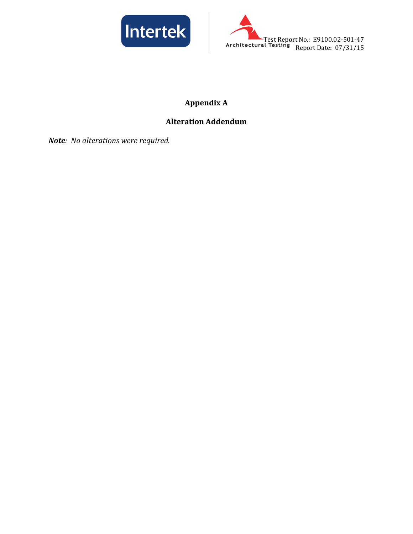



# **Appendix A**

# **Alteration Addendum**

*Note: No alterations were required.*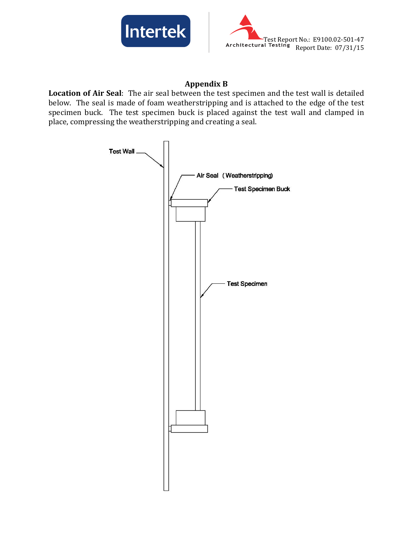



#### **Appendix B**

**Location of Air Seal**: The air seal between the test specimen and the test wall is detailed below. The seal is made of foam weatherstripping and is attached to the edge of the test specimen buck. The test specimen buck is placed against the test wall and clamped in place, compressing the weatherstripping and creating a seal.

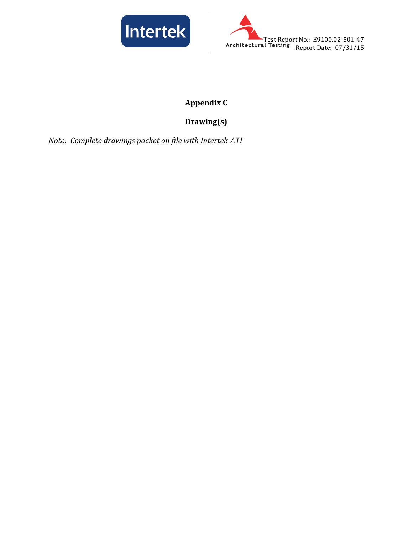



# **Appendix C**

# **Drawing(s)**

*Note: Complete drawings packet on file with Intertek-ATI*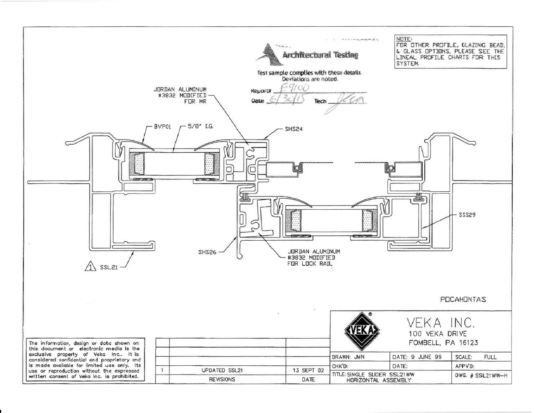